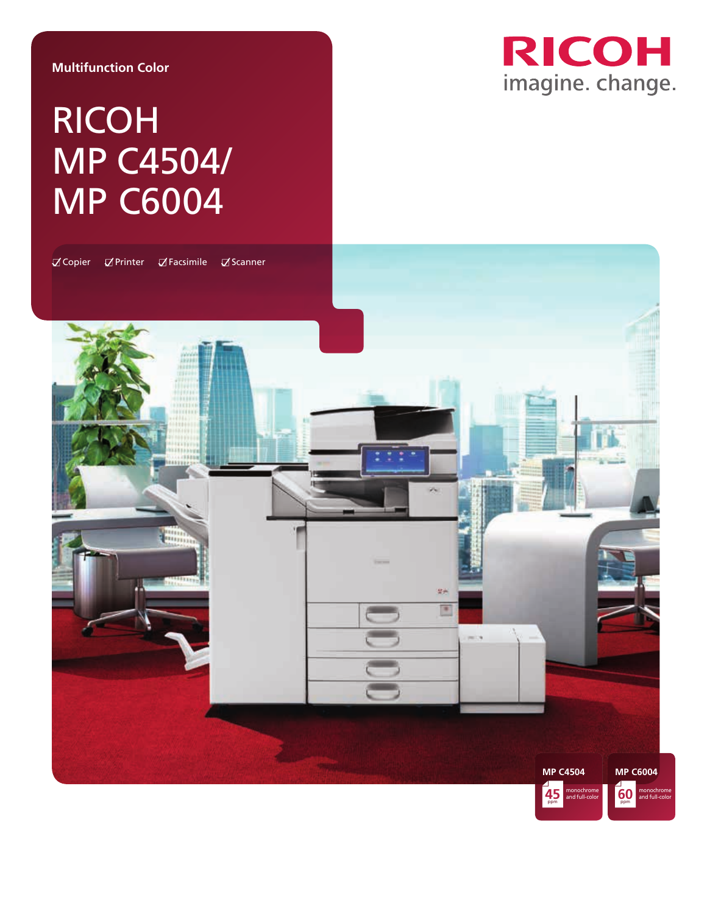### **Multifunction Color**

# RICOH MP C4504/ MP C6004



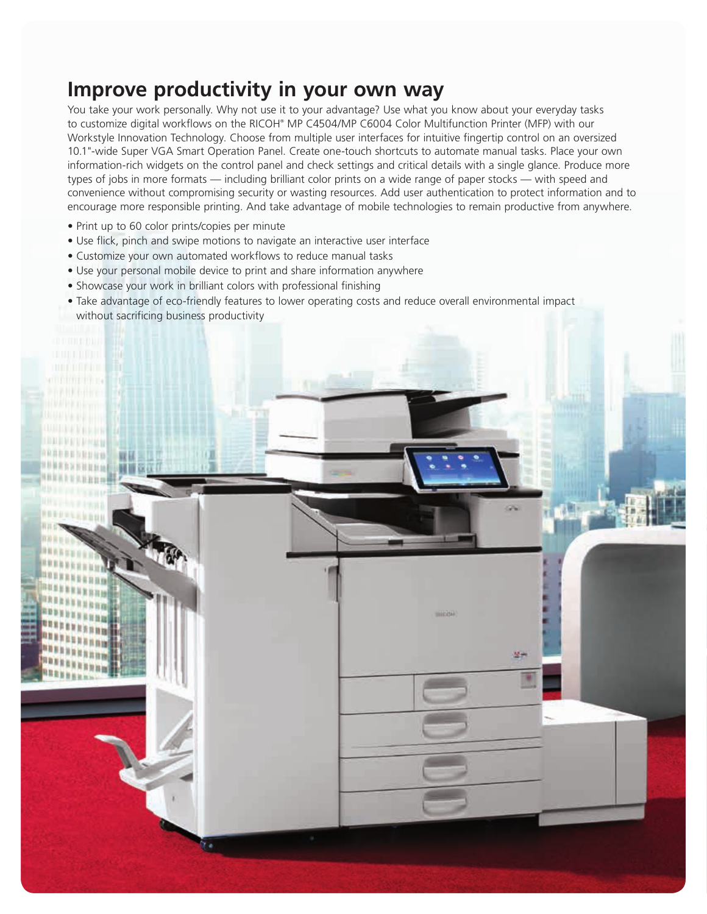### **Improve productivity in your own way**

You take your work personally. Why not use it to your advantage? Use what you know about your everyday tasks to customize digital workflows on the RICOH® MP C4504/MP C6004 Color Multifunction Printer (MFP) with our Workstyle Innovation Technology. Choose from multiple user interfaces for intuitive fingertip control on an oversized 10.1"-wide Super VGA Smart Operation Panel. Create one-touch shortcuts to automate manual tasks. Place your own information-rich widgets on the control panel and check settings and critical details with a single glance. Produce more types of jobs in more formats — including brilliant color prints on a wide range of paper stocks — with speed and convenience without compromising security or wasting resources. Add user authentication to protect information and to encourage more responsible printing. And take advantage of mobile technologies to remain productive from anywhere.

- Print up to 60 color prints/copies per minute
- Use flick, pinch and swipe motions to navigate an interactive user interface
- Customize your own automated workflows to reduce manual tasks
- Use your personal mobile device to print and share information anywhere
- Showcase your work in brilliant colors with professional finishing
- Take advantage of eco-friendly features to lower operating costs and reduce overall environmental impact without sacrificing business productivity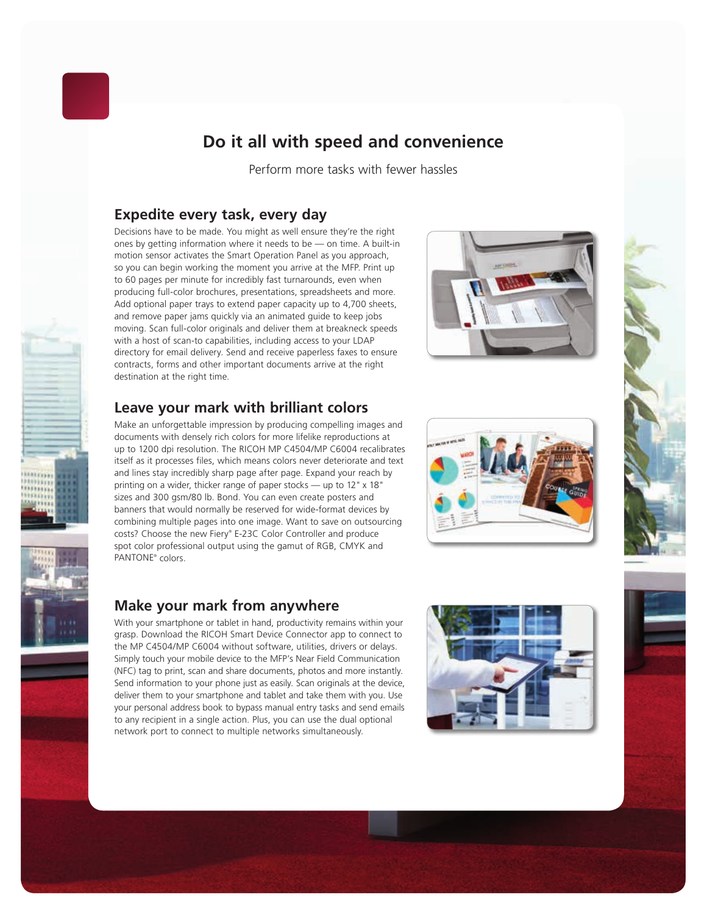

### **Do it all with speed and convenience**

Perform more tasks with fewer hassles

### **Expedite every task, every day**

Decisions have to be made. You might as well ensure they're the right ones by getting information where it needs to be — on time. A built-in motion sensor activates the Smart Operation Panel as you approach, so you can begin working the moment you arrive at the MFP. Print up to 60 pages per minute for incredibly fast turnarounds, even when producing full-color brochures, presentations, spreadsheets and more. Add optional paper trays to extend paper capacity up to 4,700 sheets, and remove paper jams quickly via an animated guide to keep jobs moving. Scan full-color originals and deliver them at breakneck speeds with a host of scan-to capabilities, including access to your LDAP directory for email delivery. Send and receive paperless faxes to ensure contracts, forms and other important documents arrive at the right destination at the right time.



### **Leave your mark with brilliant colors**

Make an unforgettable impression by producing compelling images and documents with densely rich colors for more lifelike reproductions at up to 1200 dpi resolution. The RICOH MP C4504/MP C6004 recalibrates itself as it processes files, which means colors never deteriorate and text and lines stay incredibly sharp page after page. Expand your reach by printing on a wider, thicker range of paper stocks — up to 12" x 18" sizes and 300 gsm/80 lb. Bond. You can even create posters and banners that would normally be reserved for wide-format devices by combining multiple pages into one image. Want to save on outsourcing costs? Choose the new Fiery® E-23C Color Controller and produce spot color professional output using the gamut of RGB, CMYK and PANTONE® colors.





### **Make your mark from anywhere**

With your smartphone or tablet in hand, productivity remains within your grasp. Download the RICOH Smart Device Connector app to connect to the MP C4504/MP C6004 without software, utilities, drivers or delays. Simply touch your mobile device to the MFP's Near Field Communication (NFC) tag to print, scan and share documents, photos and more instantly. Send information to your phone just as easily. Scan originals at the device, deliver them to your smartphone and tablet and take them with you. Use your personal address book to bypass manual entry tasks and send emails to any recipient in a single action. Plus, you can use the dual optional network port to connect to multiple networks simultaneously.





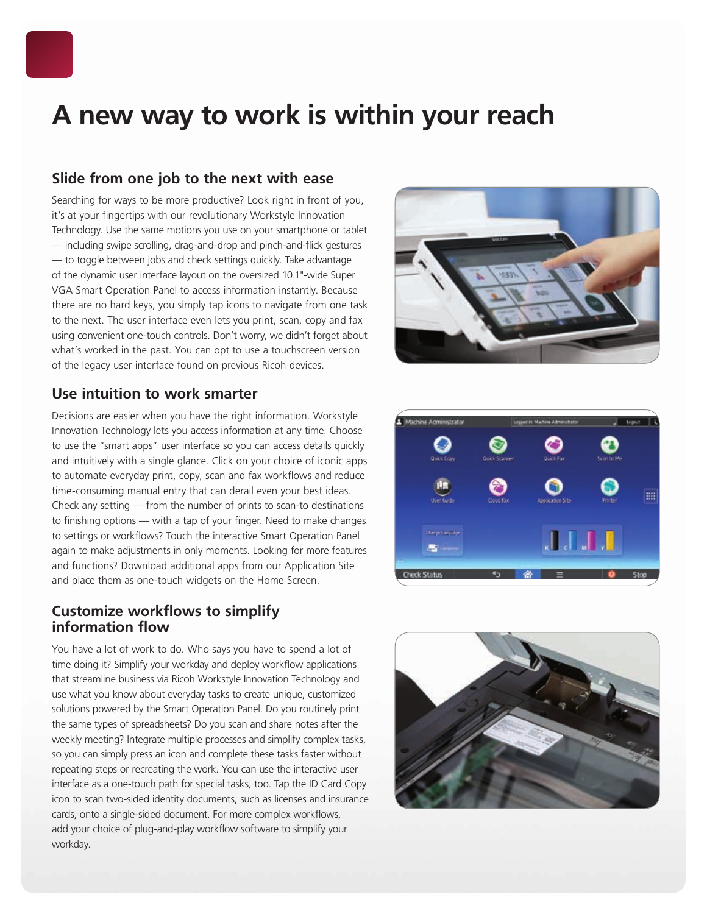

## **A new way to work is within your reach**

### **Slide from one job to the next with ease**

Searching for ways to be more productive? Look right in front of you, it's at your fingertips with our revolutionary Workstyle Innovation Technology. Use the same motions you use on your smartphone or tablet — including swipe scrolling, drag-and-drop and pinch-and-flick gestures — to toggle between jobs and check settings quickly. Take advantage of the dynamic user interface layout on the oversized 10.1"-wide Super VGA Smart Operation Panel to access information instantly. Because there are no hard keys, you simply tap icons to navigate from one task to the next. The user interface even lets you print, scan, copy and fax using convenient one-touch controls. Don't worry, we didn't forget about what's worked in the past. You can opt to use a touchscreen version of the legacy user interface found on previous Ricoh devices.

### **Use intuition to work smarter**

Decisions are easier when you have the right information. Workstyle Innovation Technology lets you access information at any time. Choose to use the "smart apps" user interface so you can access details quickly and intuitively with a single glance. Click on your choice of iconic apps to automate everyday print, copy, scan and fax workflows and reduce time-consuming manual entry that can derail even your best ideas. Check any setting — from the number of prints to scan-to destinations to finishing options — with a tap of your finger. Need to make changes to settings or workflows? Touch the interactive Smart Operation Panel again to make adjustments in only moments. Looking for more features and functions? Download additional apps from our Application Site and place them as one-touch widgets on the Home Screen.

### **Customize workflows to simplify information flow**

You have a lot of work to do. Who says you have to spend a lot of time doing it? Simplify your workday and deploy workflow applications that streamline business via Ricoh Workstyle Innovation Technology and use what you know about everyday tasks to create unique, customized solutions powered by the Smart Operation Panel. Do you routinely print the same types of spreadsheets? Do you scan and share notes after the weekly meeting? Integrate multiple processes and simplify complex tasks, so you can simply press an icon and complete these tasks faster without repeating steps or recreating the work. You can use the interactive user interface as a one-touch path for special tasks, too. Tap the ID Card Copy icon to scan two-sided identity documents, such as licenses and insurance cards, onto a single-sided document. For more complex workflows, add your choice of plug-and-play workflow software to simplify your workday.





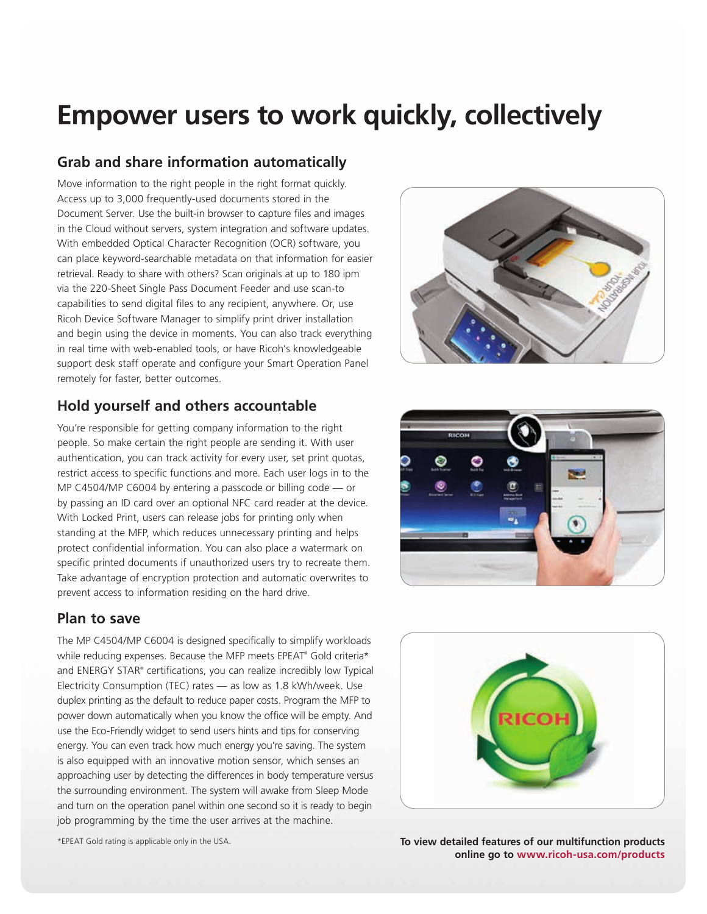## **Empower users to work quickly, collectively**

### **Grab and share information automatically**

Move information to the right people in the right format quickly. Access up to 3,000 frequently-used documents stored in the Document Server. Use the built-in browser to capture files and images in the Cloud without servers, system integration and software updates. With embedded Optical Character Recognition (OCR) software, you can place keyword-searchable metadata on that information for easier retrieval. Ready to share with others? Scan originals at up to 180 ipm via the 220-Sheet Single Pass Document Feeder and use scan-to capabilities to send digital files to any recipient, anywhere. Or, use Ricoh Device Software Manager to simplify print driver installation and begin using the device in moments. You can also track everything in real time with web-enabled tools, or have Ricoh's knowledgeable support desk staff operate and configure your Smart Operation Panel remotely for faster, better outcomes.

### **Hold yourself and others accountable**

You're responsible for getting company information to the right people. So make certain the right people are sending it. With user authentication, you can track activity for every user, set print quotas, restrict access to specific functions and more. Each user logs in to the MP C4504/MP C6004 by entering a passcode or billing code — or by passing an ID card over an optional NFC card reader at the device. With Locked Print, users can release jobs for printing only when standing at the MFP, which reduces unnecessary printing and helps protect confidential information. You can also place a watermark on specific printed documents if unauthorized users try to recreate them. Take advantage of encryption protection and automatic overwrites to prevent access to information residing on the hard drive.

### **Plan to save**

The MP C4504/MP C6004 is designed specifically to simplify workloads while reducing expenses. Because the MFP meets EPEAT® Gold criteria\* and ENERGY STAR® certifications, you can realize incredibly low Typical Electricity Consumption (TEC) rates — as low as 1.8 kWh/week. Use duplex printing as the default to reduce paper costs. Program the MFP to power down automatically when you know the office will be empty. And use the Eco-Friendly widget to send users hints and tips for conserving energy. You can even track how much energy you're saving. The system is also equipped with an innovative motion sensor, which senses an approaching user by detecting the differences in body temperature versus the surrounding environment. The system will awake from Sleep Mode and turn on the operation panel within one second so it is ready to begin job programming by the time the user arrives at the machine.







\*EPEAT Gold rating is applicable only in the USA. **To view detailed features of our multifunction products online go to www.ricoh-usa.com/products**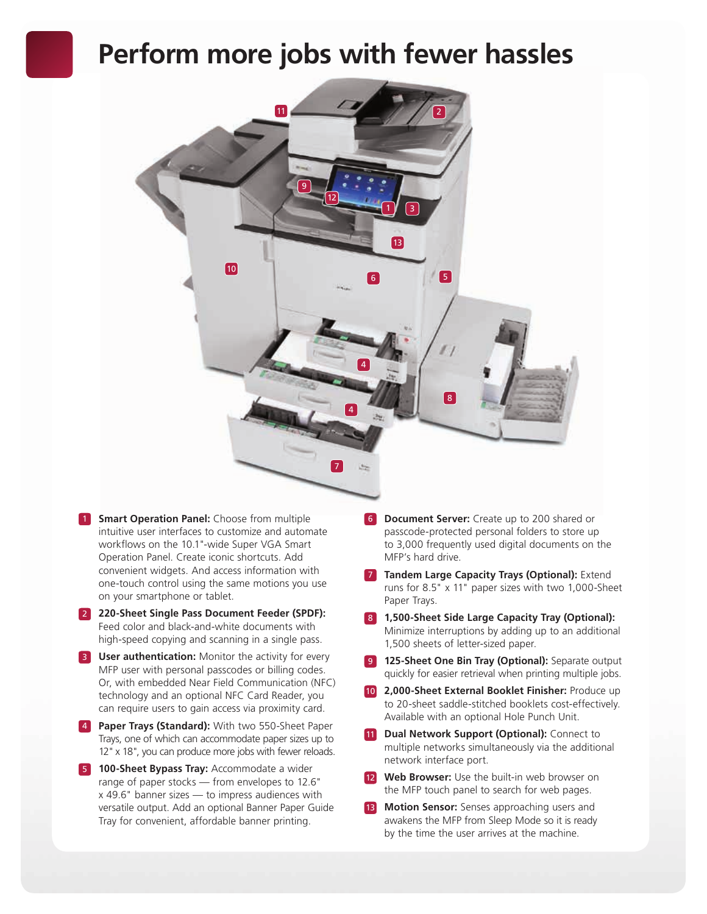## **Perform more jobs with fewer hassles**



- **1** Smart Operation Panel: Choose from multiple intuitive user interfaces to customize and automate workflows on the 10.1"-wide Super VGA Smart Operation Panel. Create iconic shortcuts. Add convenient widgets. And access information with one-touch control using the same motions you use on your smartphone or tablet.
- 2 **220-Sheet Single Pass Document Feeder (SPDF):** Feed color and black-and-white documents with high-speed copying and scanning in a single pass.
- **3 User authentication:** Monitor the activity for every MFP user with personal passcodes or billing codes. Or, with embedded Near Field Communication (NFC) technology and an optional NFC Card Reader, you can require users to gain access via proximity card.
- 4 **Paper Trays (Standard):** With two 550-Sheet Paper Trays, one of which can accommodate paper sizes up to 12" x 18", you can produce more jobs with fewer reloads.
- **5 100-Sheet Bypass Tray:** Accommodate a wider range of paper stocks — from envelopes to 12.6" x 49.6" banner sizes — to impress audiences with versatile output. Add an optional Banner Paper Guide Tray for convenient, affordable banner printing.
- 6 **Document Server:** Create up to 200 shared or passcode-protected personal folders to store up to 3,000 frequently used digital documents on the MFP's hard drive.
- **7 Tandem Large Capacity Trays (Optional): Extend** runs for 8.5" x 11" paper sizes with two 1,000-Sheet Paper Trays.
- 8 **1,500-Sheet Side Large Capacity Tray (Optional):** Minimize interruptions by adding up to an additional 1,500 sheets of letter-sized paper.
- **9 125-Sheet One Bin Tray (Optional):** Separate output quickly for easier retrieval when printing multiple jobs.
- 10 **2,000-Sheet External Booklet Finisher:** Produce up to 20-sheet saddle-stitched booklets cost-effectively. Available with an optional Hole Punch Unit.
- **11 Dual Network Support (Optional):** Connect to multiple networks simultaneously via the additional network interface port.
- **12 Web Browser:** Use the built-in web browser on the MFP touch panel to search for web pages.
- 13 **Motion Sensor:** Senses approaching users and awakens the MFP from Sleep Mode so it is ready by the time the user arrives at the machine.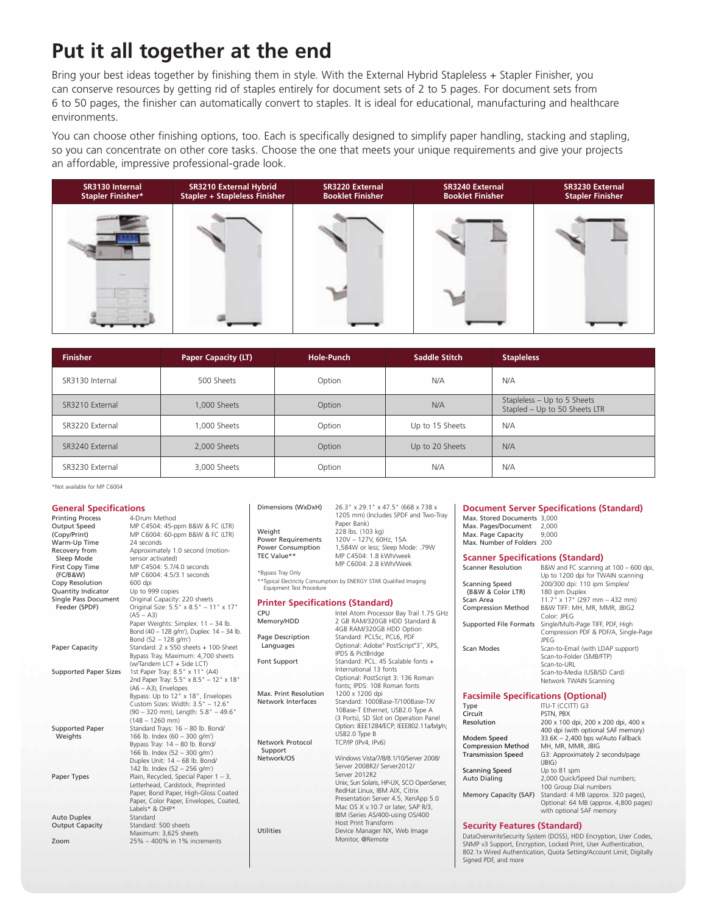### **Put it all together at the end**

Bring your best ideas together by finishing them in style. With the External Hybrid Stapleless + Stapler Finisher, you can conserve resources by getting rid of staples entirely for document sets of 2 to 5 pages. For document sets from 6 to 50 pages, the finisher can automatically convert to staples. It is ideal for educational, manufacturing and healthcare environments.

You can choose other finishing options, too. Each is specifically designed to simplify paper handling, stacking and stapling, so you can concentrate on other core tasks. Choose the one that meets your unique requirements and give your projects an affordable, impressive professional-grade look.



| <b>Finisher</b> | <b>Paper Capacity (LT)</b> | Hole-Punch | Saddle Stitch   | <b>Stapleless</b>                                            |
|-----------------|----------------------------|------------|-----------------|--------------------------------------------------------------|
| SR3130 Internal | 500 Sheets                 | Option     | N/A             | N/A                                                          |
| SR3210 External | 1,000 Sheets               | Option     | N/A             | Stapleless - Up to 5 Sheets<br>Stapled - Up to 50 Sheets LTR |
| SR3220 External | 1,000 Sheets               | Option     | Up to 15 Sheets | N/A                                                          |
| SR3240 External | 2,000 Sheets               | Option     | Up to 20 Sheets | N/A                                                          |
| SR3230 External | 3,000 Sheets               | Option     | N/A             | N/A                                                          |

\*Not available for MP C6004

#### **General Specifications**

| <b>General Specifications</b><br><b>Printing Process</b><br><b>Output Speed</b><br>(Copy/Print)<br>Warm-Up Time<br>Recovery from<br>Sleep Mode<br>First Copy Time<br>(FC/B&W)<br>Copy Resolution<br>Quantity Indicator<br>Single Pass Document<br>Feeder (SPDF)<br>Paper Capacity<br><b>Supported Paper Sizes</b> | 4-Drum Method<br>MP C4504: 45-ppm B&W & FC (LTR)<br>MP C6004: 60-ppm B&W & FC (LTR)<br>24 seconds<br>Approximately 1.0 second (motion-<br>sensor activated)<br>MP C4504: 5.7/4.0 seconds<br>MP C6004: 4.5/3.1 seconds<br>600 dpi<br>Up to 999 copies<br>Original Capacity: 220 sheets<br>Original Size: 5.5" x 8.5" - 11" x 17"<br>$(AS - A3)$<br>Paper Weights: Simplex: 11 - 34 lb.<br>Bond (40 - 128 g/m <sup>2</sup> ), Duplex: 14 - 34 lb.<br>Bond $(52 - 128$ g/m <sup>2</sup> )<br>Standard: 2 x 550 sheets + 100-Sheet<br>Bypass Tray, Maximum: 4,700 sheets<br>(w/Tandem LCT + Side LCT)<br>1st Paper Tray: 8.5" x 11" (A4) | Dimensions (WxDxH)<br>Weight<br><b>Power Requirements</b><br><b>Power Consumption</b><br>TEC Value**<br>*Bypass Tray Only<br>Equipment Test Procedure<br><b>Printer Specifications (Standard)</b><br>CPU<br>Memory/HDD<br>Page Description<br>Languages<br>Font Support | 26.3" x 29.1" x 47.5" (668 x 738 x<br>1205 mm) (Includes SPDF and Two-Tray<br>Paper Bank)<br>228 lbs. (103 kg)<br>120V - 127V, 60Hz, 15A<br>1,584W or less; Sleep Mode: .79W<br>MP C4504: 1.8 kWh/week<br>MP C6004: 2.8 kWh/Week<br>**Typical Electricity Consumption by ENERGY STAR Qualified Imaging<br>Intel Atom Processor Bay Trail 1.75 GHz<br>2 GB RAM/320GB HDD Standard &<br>4GB RAM/320GB HDD Option<br>Standard: PCL5c, PCL6, PDF<br>Optional: Adobe® PostScript®3™, XPS,<br>IPDS & PictBridge<br>Standard: PCL: 45 Scalable fonts +<br>International 13 fonts | Max. Stored Documents 3,000<br>Max. Pages/Document<br>Max. Page Capacity<br>Max. Number of Folders 200<br><b>Scanner Specifications (Standard)</b><br><b>Scanner Resolution</b><br><b>Scanning Speed</b><br>(B&W & Color LTR)<br>Scan Area<br><b>Compression Method</b><br>Scan Modes | <b>Document Server Specifications (Standard)</b><br>2.000<br>9.000<br>B&W and FC scanning at 100 - 600 dpi,<br>Up to 1200 dpi for TWAIN scanning<br>200/300 dpi: 110 ipm Simplex/<br>180 ipm Duplex<br>11.7" x 17" (297 mm - 432 mm)<br>B&W TIFF: MH, MR, MMR, JBIG2<br>Color: JPEG<br>Supported File Formats Single/Multi-Page TIFF, PDF, High<br>Compression PDF & PDF/A, Single-Page<br><b>JPFG</b><br>Scan-to-Email (with LDAP support)<br>Scan-to-Folder (SMB/FTP)<br>Scan-to-URL<br>Scan-to-Media (USB/SD Card) |
|-------------------------------------------------------------------------------------------------------------------------------------------------------------------------------------------------------------------------------------------------------------------------------------------------------------------|--------------------------------------------------------------------------------------------------------------------------------------------------------------------------------------------------------------------------------------------------------------------------------------------------------------------------------------------------------------------------------------------------------------------------------------------------------------------------------------------------------------------------------------------------------------------------------------------------------------------------------------|-------------------------------------------------------------------------------------------------------------------------------------------------------------------------------------------------------------------------------------------------------------------------|---------------------------------------------------------------------------------------------------------------------------------------------------------------------------------------------------------------------------------------------------------------------------------------------------------------------------------------------------------------------------------------------------------------------------------------------------------------------------------------------------------------------------------------------------------------------------|---------------------------------------------------------------------------------------------------------------------------------------------------------------------------------------------------------------------------------------------------------------------------------------|-----------------------------------------------------------------------------------------------------------------------------------------------------------------------------------------------------------------------------------------------------------------------------------------------------------------------------------------------------------------------------------------------------------------------------------------------------------------------------------------------------------------------|
|                                                                                                                                                                                                                                                                                                                   | 2nd Paper Tray: 5.5" x 8.5" - 12" x 18"<br>(A6 - A3), Envelopes<br>Bypass: Up to 12" x 18", Envelopes<br>Custom Sizes: Width: 3.5" - 12.6"<br>(90 - 320 mm), Length: 5.8" - 49.6"<br>$(148 - 1260$ mm)                                                                                                                                                                                                                                                                                                                                                                                                                               | Max. Print Resolution<br>Network Interfaces                                                                                                                                                                                                                             | Optional: PostScript 3: 136 Roman<br>fonts; IPDS: 108 Roman fonts<br>1200 x 1200 dpi<br>Standard: 1000Base-T/100Base-TX/<br>10Base-T Ethernet, USB2.0 Type A<br>(3 Ports), SD Slot on Operation Panel                                                                                                                                                                                                                                                                                                                                                                     | <b>Facsimile Specifications (Optional)</b><br>Type<br>Circuit                                                                                                                                                                                                                         | Network TWAIN Scanning<br>ITU-T (CCITT) G3<br>PSTN, PBX                                                                                                                                                                                                                                                                                                                                                                                                                                                               |
| <b>Supported Paper</b><br>Weights                                                                                                                                                                                                                                                                                 | Standard Trays: 16 - 80 lb. Bond/<br>166 lb. Index (60 - 300 g/m <sup>2</sup> )<br>Bypass Tray: 14 - 80 lb. Bond/<br>166 lb. Index (52 - 300 g/m <sup>2</sup> )<br>Duplex Unit: 14 - 68 lb. Bond/<br>142 lb. Index (52 - 256 g/m <sup>2</sup> )                                                                                                                                                                                                                                                                                                                                                                                      | <b>Network Protocol</b><br>Support<br>Network/OS                                                                                                                                                                                                                        | Option: IEEE1284/ECP; IEEE802.11a/b/q/n;<br>USB2.0 Type B<br>TCP/IP (IPv4, IPv6)<br>Windows Vista/7/8/8.1/10/Server 2008/<br>Server 2008R2/ Server2012/                                                                                                                                                                                                                                                                                                                                                                                                                   | Resolution<br>Modem Speed<br><b>Compression Method</b><br><b>Transmission Speed</b>                                                                                                                                                                                                   | 200 x 100 dpi, 200 x 200 dpi, 400 x<br>400 dpi (with optional SAF memory)<br>33.6K - 2,400 bps w/Auto Fallback<br>MH, MR, MMR, JBIG<br>G3: Approximately 2 seconds/page<br>(BIG)                                                                                                                                                                                                                                                                                                                                      |
| Paper Types<br><b>Auto Duplex</b>                                                                                                                                                                                                                                                                                 | Plain, Recycled, Special Paper $1 - 3$ ,<br>Letterhead, Cardstock, Preprinted<br>Paper, Bond Paper, High-Gloss Coated<br>Paper, Color Paper, Envelopes, Coated,<br>Labels* & OHP*<br>Standard                                                                                                                                                                                                                                                                                                                                                                                                                                        |                                                                                                                                                                                                                                                                         | Server 2012R2<br>Unix; Sun Solaris, HP-UX, SCO OpenServer,<br>RedHat Linux, IBM AIX, Citrix<br>Presentation Server 4.5, XenApp 5.0<br>Mac OS X v.10.7 or later, SAP R/3,<br>IBM iSeries AS/400-using OS/400                                                                                                                                                                                                                                                                                                                                                               | <b>Scanning Speed</b><br><b>Auto Dialing</b><br>Memory Capacity (SAF)                                                                                                                                                                                                                 | Up to 81 spm<br>2,000 Quick/Speed Dial numbers;<br>100 Group Dial numbers<br>Standard: 4 MB (approx. 320 pages),<br>Optional: 64 MB (approx. 4,800 pages)<br>with optional SAF memory                                                                                                                                                                                                                                                                                                                                 |
| <b>Output Capacity</b><br>Zoom                                                                                                                                                                                                                                                                                    | Standard: 500 sheets<br>Maximum: 3,625 sheets<br>25% - 400% in 1% increments                                                                                                                                                                                                                                                                                                                                                                                                                                                                                                                                                         | Utilities                                                                                                                                                                                                                                                               | Host Print Transform<br>Device Manager NX, Web Image<br>Monitor, @Remote                                                                                                                                                                                                                                                                                                                                                                                                                                                                                                  | <b>Security Features (Standard)</b>                                                                                                                                                                                                                                                   | DataOverwriteSecurity System (DOSS), HDD Encryption, User Codes,<br>SNMP v3 Support, Encryption, Locked Print, User Authentication,<br>802.1x Wired Authentication, Quota Setting/Account Limit, Digitally                                                                                                                                                                                                                                                                                                            |

Signed PDF, and more